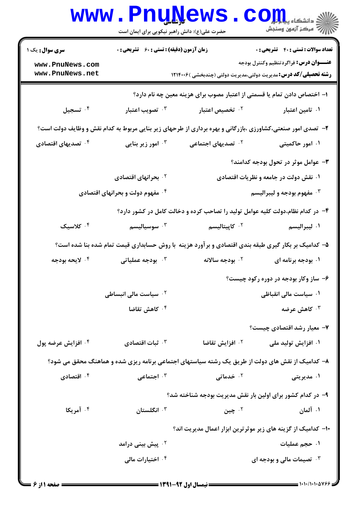|                                                                                                     | <b>www.PnuNews</b><br>حضرت علی(ع): دانش راهبر نیکویی برای ایمان است |                                                                                                            | الاد دانشڪاه پي <mark>ا باري</mark><br>الا دانشڪاه پيا باري |  |
|-----------------------------------------------------------------------------------------------------|---------------------------------------------------------------------|------------------------------------------------------------------------------------------------------------|-------------------------------------------------------------|--|
| <b>سری سوال :</b> یک ۱                                                                              | زمان آزمون (دقیقه) : تستی : 60 ٪ تشریحی : 0                         |                                                                                                            | <b>تعداد سوالات : تستي : 40 ٪ تشريحي : 0</b>                |  |
| www.PnuNews.com<br>www.PnuNews.net                                                                  |                                                                     | <b>رشته تحصیلی/کد درس:</b> مدیریت دولتی،مدیریت دولتی (چندبخشی )۱۲۱۴۰۰۶                                     | <b>عنـــوان درس:</b> فراگردتنظیم وکنترل بودجه               |  |
|                                                                                                     |                                                                     | ا– اختصاص دادن تمام یا قسمتی از اعتبار مصوب برای هزینه معین چه نام دارد؟                                   |                                                             |  |
| ۰۴ تسجيل                                                                                            | ۰۳ تصویب اعتبار                                                     | ۰ <sup>۲</sup> تخصیص اعتبار                                                                                | ۰۱ تامین اعتبار                                             |  |
|                                                                                                     |                                                                     | ۲- تصدی امور صنعتی،کشاورزی ،بازرگانی و بهره برداری از طرحهای زیر بنایی مربوط به کدام نقش و وظایف دولت است؟ |                                                             |  |
| ۰ <sup>۴</sup> تصدیهای اقتصادی                                                                      | ۰ <sup>۳</sup> امور زیر بنایی                                       | <sup>۲.</sup> تصدیهای اجتماعی                                                                              | ۰۱ امور حاکمیتی                                             |  |
|                                                                                                     |                                                                     |                                                                                                            | - عوامل موثر در تحول بودجه کدامند؟                          |  |
|                                                                                                     | <sup>۲</sup> ۰ بحرانهای اقتصادی                                     |                                                                                                            | ۰۱ نقش دولت در جامعه و نظریات اقتصادی                       |  |
| ۰۴ مفهوم دولت و بحرانهای اقتصادی                                                                    |                                                                     | ۰۳ مفهوم بودجه و ليبراليسم                                                                                 |                                                             |  |
|                                                                                                     |                                                                     | ۴- در کدام نظام،دولت کلیه عوامل تولید را تصاحب کرده و دخالت کامل در کشور دارد؟                             |                                                             |  |
| ۰۴ کلاسیک                                                                                           | سوسياليسم $\cdot^{\mathsf{v}}$                                      | ۰۲ کاپیتالیسم                                                                                              | ۰۱ ليبراليسم                                                |  |
| ۵– کدامیک بر بکار گیری طبقه بندی اقتصادی و بر آورد هزینه با روش حسابداری قیمت تمام شده بنا شده است؟ |                                                                     |                                                                                                            |                                                             |  |
| ۰۴ لايحه بودجه                                                                                      | بودجه عملیاتی $\cdot$                                               | ۰ <sup>۲</sup> بودجه سالانه                                                                                | ۰۱ بودجه برنامه ای                                          |  |
|                                                                                                     |                                                                     |                                                                                                            | ۶- ساز وکار بودجه در دوره رکود چیست؟                        |  |
|                                                                                                     | <sup>۲</sup> ۰ سیاست مالی انبساطی                                   |                                                                                                            | ۰۱ سیاست مالی انقباظی                                       |  |
|                                                                                                     | کاهش تقاضا $\cdot$ $^{\mathsf{f}}$                                  |                                                                                                            | ۰ <sup>۳</sup> کاهش عرضه                                    |  |
|                                                                                                     |                                                                     |                                                                                                            | ۷– معیار رشد اقتصادی چیست؟                                  |  |
| ۰ <sup>۴</sup> افزایش عرضه پول                                                                      | نبات اقتصادی $\cdot^{\mathsf{v}}$                                   | ۰ <sup>۲</sup> افزایش تقاضا                                                                                | ۰۱ افزایش تولید ملی                                         |  |
|                                                                                                     |                                                                     | ۸– کدامیک از نقش های دولت از طریق یک رشته سیاستهای اجتماعی برنامه ریزی شده و هماهنگ محقق می شود؟           |                                                             |  |
| اقتصادی $\cdot$ أ                                                                                   | اجتماعی $\cdot$ ۲                                                   | ۰ <sup>۲</sup> خدماتی                                                                                      | ۰۱ مدیریتی                                                  |  |
|                                                                                                     |                                                                     | ۹- در کدام کشور برای اولین بار نقش مدیریت بودجه شناخته شد؟                                                 |                                                             |  |
| ۰ <sup>۴</sup> آمریکا                                                                               | انگلستان $\cdot$ "                                                  | ۰۲ چين                                                                                                     | ۰۱ آلمان                                                    |  |
|                                                                                                     |                                                                     | ۱۰– کدامیک از گزینه های زیر موثرترین ابزار اعمال مدیریت اند؟                                               |                                                             |  |
|                                                                                                     | <sup>۲ .</sup> پیش بینی درامد                                       |                                                                                                            | ۰۱ حجم عملیات                                               |  |
|                                                                                                     | ۰ <sup>۴</sup> اختیارات مالی                                        |                                                                                                            | تصیمات مالی و بودجه ای $\cdot$                              |  |
|                                                                                                     |                                                                     |                                                                                                            |                                                             |  |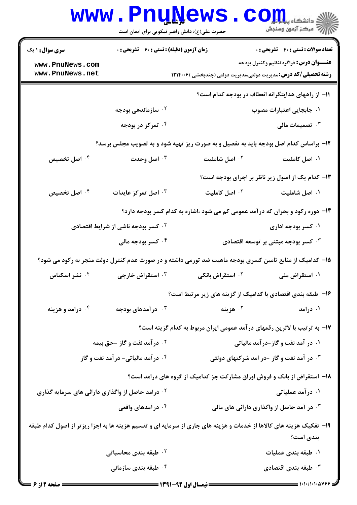|                                                                                                                                 | <b>www.PnuNews</b><br>حضرت علی(ع): دانش راهبر نیکویی برای ایمان است |                             | $\left\ \sum_{j=1}^N\sum_{j=1}^N\sum_{j=1}^N\sum_{j=1}^N\left\ \sum_{j=1}^N\sum_{j=1}^N\sum_{j=1}^N\right\ ^2\right\ $ |  |
|---------------------------------------------------------------------------------------------------------------------------------|---------------------------------------------------------------------|-----------------------------|------------------------------------------------------------------------------------------------------------------------|--|
| <b>سری سوال : ۱ یک</b>                                                                                                          | زمان آزمون (دقیقه) : تستی : 60 ٪ تشریحی : 0                         |                             | <b>تعداد سوالات : تستی : 40 ٪ تشریحی : 0</b>                                                                           |  |
| www.PnuNews.com                                                                                                                 |                                                                     |                             | <b>عنـــوان درس:</b> فراگردتنظیم وکنترل بودجه                                                                          |  |
| www.PnuNews.net                                                                                                                 |                                                                     |                             | <b>رشته تحصیلی/کد درس:</b> مدیریت دولتی،مدیریت دولتی (چندبخشی )۱۲۱۴۰۰۶                                                 |  |
|                                                                                                                                 | 11- از راههای هدایتگرانه انعطاف در بودجه کدام است؟                  |                             |                                                                                                                        |  |
|                                                                                                                                 | ۰ <sup>۲</sup> سازماندهی بودجه                                      |                             | ۰۱ جابجایی اعتبارات مصوب                                                                                               |  |
|                                                                                                                                 | ۰۴ تمرکز در بودجه                                                   |                             | تصمیمات مالی $\cdot$                                                                                                   |  |
|                                                                                                                                 |                                                                     |                             | ۱۲- براساس کدام اصل بودجه باید به تفصیل و به صورت ریز تهیه شود و به تصویب مجلس برسد؟                                   |  |
| ۰ <sup>۴</sup> اصل تخصیص                                                                                                        | اصل وحدت $\cdot$ "                                                  | ۰ <sup>۲</sup> اصل شاملیت   | ۰۱ اصل کاملیت                                                                                                          |  |
|                                                                                                                                 |                                                                     |                             | ۱۳- کدام یک از اصول زیر ناظر بر اجرای بودجه است؟                                                                       |  |
| ۰۴ اصل تخصیص                                                                                                                    | اصل تمرکز عایدات $\cdot^{\mathtt{w}}$                               | <sup>٢</sup> ٠ اصل كامليت   | ۰۱ اصل شاملیت                                                                                                          |  |
|                                                                                                                                 |                                                                     |                             | ۱۴– دوره رکود و بحران که در آمد عمومی کم می شود ،اشاره به کدام کسر بودجه دارد؟                                         |  |
|                                                                                                                                 | <b>گ کسر بودجه ناشی از شرایط اقتصادی</b>                            |                             | ۰۱ کسر بودجه اداری                                                                                                     |  |
|                                                                                                                                 | ۰ <sup>۴</sup> کسر بودجه مالی                                       |                             | ۰ <sup>۳ ک</sup> سر بودجه مبتنی بر توسعه اقتصادی                                                                       |  |
|                                                                                                                                 |                                                                     |                             | ۱۵– کدامیک از منابع تامین کسری بودجه ماهیت ضد تورمی داشته و در صورت عدم کنترل دولت منجر به رکود می شود؟                |  |
| ۰۴ نشر اسکناس                                                                                                                   | ۰ <sup>۳</sup> استقراض خارجی                                        | <sup>۲.</sup> استقراض بانکی | ۰۱ استقراض ملی                                                                                                         |  |
|                                                                                                                                 |                                                                     |                             | ۱۶- طبقه بندی اقتصادی با کدامیک از گزینه های زیر مرتبط است؟                                                            |  |
| ۰۴ درامد و هزینه                                                                                                                | در آمدهای بودجه $\cdot$ ۳                                           | ۰۲ هزينه                    | ۰۱ درآمد                                                                                                               |  |
|                                                                                                                                 |                                                                     |                             | ۱۷– به ترتیب با لاترین رقمهای درآمد عمومی ایران مربوط به کدام گزینه است؟                                               |  |
|                                                                                                                                 | <b>گ در آمد نفت و گاز -حق بیمه</b>                                  |                             | ۰۱ در آمد نفت و گاز-درآمد مالیاتی                                                                                      |  |
|                                                                                                                                 | <b>۴ . درآمد مالیاتی- درآمد نفت و گاز</b>                           |                             | در آمد نفت و گاز -در امد شرکتهای دولتی $\cdot$                                                                         |  |
|                                                                                                                                 |                                                                     |                             | ۱۸- استقراض از بانک و فروش اوراق مشارکت جز کدامیک از گروه های درامد است؟                                               |  |
| <sup>۲ .</sup> درامد حاصل از واگذاری دارائی های سرمایه گذاری                                                                    |                                                                     |                             | ۰۱ در آمد عملیاتی                                                                                                      |  |
|                                                                                                                                 | ۰۴ در آمدهای واقعی                                                  |                             | ۰۳ در آمد حاصل از واگذاری دارائی های مالی                                                                              |  |
| ۱۹- تفکیک هزینه های کالاها از خدمات و هزینه های جاری از سرمایه ای و تقسیم هزینه ها به اجزا ریزتر از اصول کدام طبقه<br>بندی است؟ |                                                                     |                             |                                                                                                                        |  |
|                                                                                                                                 | ۰ <sup>۲</sup> طبقه بندی محاسباتی                                   |                             | ۰۱ طبقه بندی عملیات                                                                                                    |  |
| ۰ <sup>۴</sup> طبقه بندی سازمانی                                                                                                |                                                                     |                             | ظبقه بندى اقتصادى $\cdot$                                                                                              |  |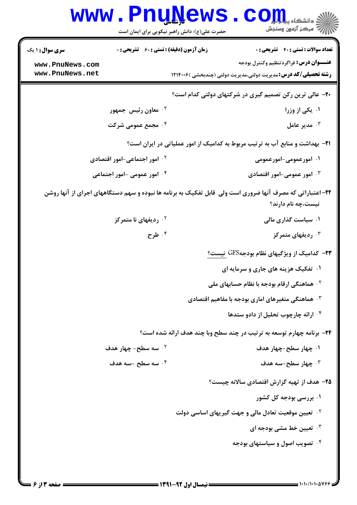| www.PnuNews                              | $\mathop{\hbox{\rm\,}}\nolimits\, \mathop{\hbox{\rm\,}}\nolimits$<br>رآ - مرڪز آزمون وسنڊش<br>حضرت علی(ع): دانش راهبر نیکویی برای ایمان است |
|------------------------------------------|---------------------------------------------------------------------------------------------------------------------------------------------|
| <b>سری سوال :</b> ۱ یک                   | <b>زمان آزمون (دقیقه) : تستی : 60 ٪ تشریحی : 0</b><br><b>تعداد سوالات : تستی : 40 قشریحی : 0</b>                                            |
| www.PnuNews.com<br>www.PnuNews.net       | <b>عنـــوان درس:</b> فراگردتنظیم وکنترل بودجه<br><b>رشته تحصیلی/کد درس:</b> مدیریت دولتی،مدیریت دولتی (چندبخشی )۱۲۱۴۰۰۶                     |
|                                          |                                                                                                                                             |
|                                          | ۲۰- عالی ترین رکن تصمیم گیری در شرکتهای دولتی کدام است؟                                                                                     |
| ۰ <sup>۲</sup> معاون رئیس جمهور          | ۰۱ یکی از وزرا                                                                                                                              |
| ۰۴ مجمع عمومی شرکت                       | مدير عامل $\cdot^7$                                                                                                                         |
|                                          | <b>۲۱</b> - بهداشت و منابع آب به ترتیب مربوط به کدامیک از امور عملیاتی در ایران است؟                                                        |
| ۰ <sup>۲</sup> امور اجتماعی-امور اقتصادی | ۰۱ امورعمومی-امورعمومی                                                                                                                      |
| ۰۴ امور عمومی -امور اجتماعی              | ۰۳ امور عمومی-امور اقتصادی                                                                                                                  |
|                                          | ۲۲- اعتباراتی که مصرف آنها ضروری است ولی ًقابل تفکیک به برنامه ها نبوده و سهم دستگاههای اجرای از آنها روشن<br>نیست،چه نام دارند؟            |
| ردیفهای نا متمرکز $\cdot$ ۲              | ۰۱ سیاست گذاری مالی                                                                                                                         |
| ۰۴ طرح                                   | دیفهای متمرکز $\cdot$                                                                                                                       |
|                                          | <b>۲۳</b> - کدامیک از ویژگیهای نظام بودجهGFS نیست؟                                                                                          |
|                                          | ۰۱ تفکیک هزینه های جاری و سرمایه ای                                                                                                         |
|                                          | <sup>۲</sup> ۰ هماهنگی ارقام بودجه با نظام حسابهای ملی                                                                                      |
|                                          | ۰۳ هماهنگی متغیرهای اماری بودجه با مفاهیم اقتصادی                                                                                           |
|                                          | ۰۴ ارائه چارچوب تحلیل از دادو ستدها                                                                                                         |
|                                          | ۲۴- برنامه چهارم توسعه به ترتیب در چند سطح وبا چند هدف ارائه شده است؟                                                                       |
| ۰ <sup>۲</sup> سه سطح- چهار هدف          | ۰۱ چهار سطح-چهار هدف                                                                                                                        |
| ۰۴ سه سطح -سه هدف                        | جهار سطح-سه هدف $\cdot^7$                                                                                                                   |
|                                          | ۲۵- هدف از تهیه گزارش اقتصادی سالانه چیست؟                                                                                                  |
|                                          | ۰۱ بررسی بودجه کل کشور                                                                                                                      |
|                                          | <sup>۲ .</sup> تعیین موقعیت تعادل مالی و جهت گیریهای اساسی دولت                                                                             |
|                                          | ۰ <sup>۳</sup> تعیین خط مشی بودجه ای                                                                                                        |
|                                          | ۰۴ تصویب اصول و سیاستهای بودجه                                                                                                              |
|                                          |                                                                                                                                             |
| = صفحه 13 ز 6 <b>=</b>                   | = ۱۰۱۰/۱۰۱۰۵۷۶۶ =                                                                                                                           |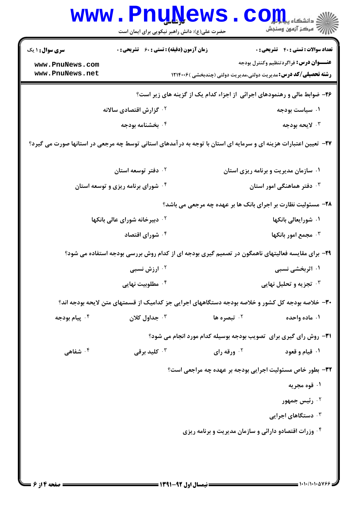|                                                                                                                  | <b>www.PnuNews</b>                                 | حضرت علی(ع): دانش راهبر نیکویی برای ایمان است | الا دانشگاه پیامبرا<br>از دانشگاه پیامبران                                                                              |  |
|------------------------------------------------------------------------------------------------------------------|----------------------------------------------------|-----------------------------------------------|-------------------------------------------------------------------------------------------------------------------------|--|
| <b>سری سوال : ۱ یک</b>                                                                                           | <b>زمان آزمون (دقیقه) : تستی : 60 ٪ تشریحی : 0</b> |                                               | <b>تعداد سوالات : تستي : 40 - تشريحي : 0</b>                                                                            |  |
| www.PnuNews.com<br>www.PnuNews.net                                                                               |                                                    |                                               | <b>عنـــوان درس:</b> فراگردتنظیم وکنترل بودجه<br><b>رشته تحصیلی/کد درس:</b> مدیریت دولتی،مدیریت دولتی (چندبخشی )۱۲۱۴۰۰۶ |  |
| ۲۶- ضوابط مالی و رهنمودهای اجرائی از اجزاء کدام یک از گزینه های زیر است؟                                         |                                                    |                                               |                                                                                                                         |  |
|                                                                                                                  | ۰ <sup>۲</sup> گزارش اقتصادی سالانه                |                                               | ۰۱ سیاست بودجه                                                                                                          |  |
|                                                                                                                  | ۰۴ بخشنامه بودجه                                   |                                               | ۰۳ لايحه بودجه                                                                                                          |  |
| ۲۷– تعیین اعتبارات هزینه ای و سرمایه ای استان با توجه به در آمدهای استانی توسط چه مرجعی در استانها صورت می گیرد؟ |                                                    |                                               |                                                                                                                         |  |
|                                                                                                                  | ۰ <sup>۲</sup> دفتر توسعه استان                    |                                               | ۰۱ سازمان مدیریت و برنامه ریزی استان                                                                                    |  |
|                                                                                                                  | ۰۴ شورای برنامه ریزی و توسعه استان                 |                                               | ۰ <sup>۳</sup> دفتر هماهنگی امور استان                                                                                  |  |
|                                                                                                                  |                                                    |                                               | ۲۸- مسئولیت نظارت بر اجرای بانک ها بر عهده چه مرجعی می باشد؟                                                            |  |
|                                                                                                                  | <sup>۲ .</sup> دبیرخانه شورای عالی بانکها          |                                               | ۰۱ شورایعالی بانکها                                                                                                     |  |
|                                                                                                                  | ۰۴ شورای اقتصاد                                    |                                               | ۰۳ مجمع امور بانکها                                                                                                     |  |
|                                                                                                                  |                                                    |                                               | ۲۹- برای مقایسه فعالیتهای ناهمگون در تصمیم گیری بودجه ای از کدام روش بررسی بودجه استفاده می شود؟                        |  |
|                                                                                                                  | <sup>۲ .</sup> ارزش نسبی                           |                                               | ۰۱ اثربخشی نسبی                                                                                                         |  |
|                                                                                                                  | ۰ <sup>۴</sup> مطلوبیت نهایی                       |                                               | <b>۰۳ تجزیه و تحلیل نهایی</b>                                                                                           |  |
|                                                                                                                  |                                                    |                                               | ۳۰– خلاصه بودجه کل کشور و خلاصه بودجه دستگاههای اجرایی جز کدامیک از قسمتهای متن لایحه بودجه اند؟                        |  |
| ۰۴ پیام بودجه                                                                                                    | جداول کلان $\cdot$                                 | ۰ <sup>۲</sup> تبصره ها                       | ۰۱ ماده واحده                                                                                                           |  |
|                                                                                                                  |                                                    |                                               | <b>31</b> - روش رای گیری برای تصویب بودجه بوسیله کدام مورد انجام می شود؟                                                |  |
| شفاهی $\cdot$ ۴                                                                                                  | ۰ <sup>۳</sup> کلید برقی                           | ورقه رای $\cdot$ ۲                            | ۰۱ قیام و قعود                                                                                                          |  |
|                                                                                                                  |                                                    |                                               | ۳۲- بطور خاص مسئولیت اجرایی بودجه بر عهده چه مراجعی است؟                                                                |  |
|                                                                                                                  |                                                    |                                               | ۰۱ قوه مجریه                                                                                                            |  |
|                                                                                                                  |                                                    |                                               | ۰ <sup>۲</sup> رئیس جمهور                                                                                               |  |
|                                                                                                                  |                                                    |                                               | دستگاهای اجرایی $\cdot^{\intercal}$                                                                                     |  |
|                                                                                                                  |                                                    |                                               | ۰۴ وزرات اقتصادو دارائی و سازمان مدیریت و برنامه ریزی <b>ب</b>                                                          |  |
|                                                                                                                  |                                                    |                                               |                                                                                                                         |  |
|                                                                                                                  |                                                    |                                               |                                                                                                                         |  |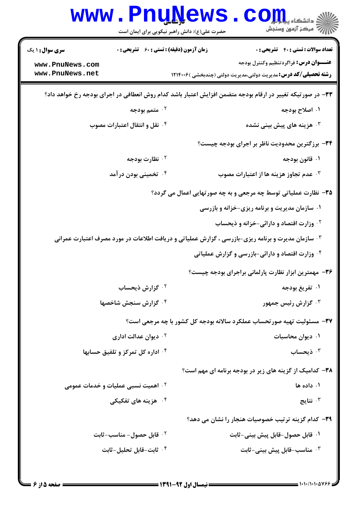|                                                                                                            | <b>www.PnuNews</b><br>حضرت علی(ع): دانش راهبر نیکویی برای ایمان است | $\mathop{\hbox{\bf CO}}\nolimits_{\rm J\hspace{-1pt}I\hspace{-1pt}I\hspace{-1pt}I\hspace{-1pt}I}$ and $\mathop{\hbox{\bf CO}}\nolimits_{\rm J\hspace{-1pt}I\hspace{-1pt}I\hspace{-1pt}I}$<br>ر آمرڪز آزمون وسنڊش |  |  |
|------------------------------------------------------------------------------------------------------------|---------------------------------------------------------------------|------------------------------------------------------------------------------------------------------------------------------------------------------------------------------------------------------------------|--|--|
| <b>سری سوال :</b> ۱ یک                                                                                     | <b>زمان آزمون (دقیقه) : تستی : 60 ٪ تشریحی : 0</b>                  | <b>تعداد سوالات : تستي : 40 قشريحي : 0</b>                                                                                                                                                                       |  |  |
| www.PnuNews.com                                                                                            |                                                                     | <b>عنـــوان درس:</b> فراگردتنظیم وکنترل بودجه                                                                                                                                                                    |  |  |
| www.PnuNews.net                                                                                            |                                                                     | <b>رشته تحصیلی/کد درس:</b> مدیریت دولتی،مدیریت دولتی (چندبخشی )۱۲۱۴۰۰۶                                                                                                                                           |  |  |
| ۳۳– در صورتیکه تغییر در ارقام بودجه متضمن افزایش اعتبار باشد کدام روش انعطافی در اجرای بودجه رخ خواهد داد؟ |                                                                     |                                                                                                                                                                                                                  |  |  |
|                                                                                                            | ۰ <sup>۲</sup> متمم بودجه                                           | ۰۱ اصلاح بودجه                                                                                                                                                                                                   |  |  |
|                                                                                                            | ۰۴ نقل و انتقال اعتبارات مصوب                                       | هزینه های پیش بینی نشده $\cdot^{\mathtt{w}}$                                                                                                                                                                     |  |  |
| ۳۴– برزگترین محدودیت ناظر بر اجرای بودجه چیست؟                                                             |                                                                     |                                                                                                                                                                                                                  |  |  |
|                                                                                                            | ۰ <sup>۲</sup> نظارت بودجه                                          | ۰۱ قانون بودجه                                                                                                                                                                                                   |  |  |
|                                                                                                            | ۰۴ تخمینی بودن در آمد                                               | ۰۳ عدم تجاوز هزینه ها از اعتبارات مصوب                                                                                                                                                                           |  |  |
| ۳۵- نظارت عملیاتی توسط چه مرجعی و به چه صورتهایی اعمال می گردد؟                                            |                                                                     |                                                                                                                                                                                                                  |  |  |
|                                                                                                            |                                                                     | ۰۱ سازمان مدیریت و برنامه ریزی-خزانه و بازرسی                                                                                                                                                                    |  |  |
|                                                                                                            |                                                                     | <b>گ وزارت اقتصاد و دارائی-خزانه و ذیحساب</b>                                                                                                                                                                    |  |  |
|                                                                                                            |                                                                     | ۰۳ سازمان مدیرت و برنامه ریزی-بازرسی ، گزارش عملیاتی و دریافت اطلاعات در مورد مصرف اعتبارت عمرانی                                                                                                                |  |  |
| ۰۴ وزارت اقتصاد و دارائی-بازرسی و گزارش عملیاتی                                                            |                                                                     |                                                                                                                                                                                                                  |  |  |
|                                                                                                            |                                                                     | ۳۶– مهمترین ابزار نظارت پارلمانی براجرای بودجه چیست؟                                                                                                                                                             |  |  |
|                                                                                                            | ۰ <sup>۲</sup> گزارش ذیحساب                                         | ۰۱ تفریغ بودجه                                                                                                                                                                                                   |  |  |
|                                                                                                            | ۰۴ گزارش سنجش شاخصها                                                | ۰۳ گزارش رئیس جمهور                                                                                                                                                                                              |  |  |
|                                                                                                            |                                                                     | ٣٧- مسئوليت تهيه صورتحساب عملكرد سالانه بودجه كل كشور با چه مرجعي است؟                                                                                                                                           |  |  |
|                                                                                                            | ۰ <sup>۲</sup> دیوان عدالت اداری                                    | ۰۱ دیوان محاسبات                                                                                                                                                                                                 |  |  |
|                                                                                                            | ۰۴ اداره کل تمرکز و تلفیق حسابها                                    | ذيحساب $\cdot$                                                                                                                                                                                                   |  |  |
| ۳۸- کدامیک از گزینه های زیر در بودجه برنامه ای مهم است؟                                                    |                                                                     |                                                                                                                                                                                                                  |  |  |
|                                                                                                            | ۰۲ اهمیت نسبی عملیات و خدمات عمومی                                  | ۰۱ داده ها                                                                                                                                                                                                       |  |  |
|                                                                                                            | ۰ <sup>۴</sup> هزینه های تفکیکی                                     | نتايج $\cdot$ "                                                                                                                                                                                                  |  |  |
|                                                                                                            |                                                                     | ۳۹- کدام گزینه ترتیب خصوصیات هنجار را نشان می دهد؟                                                                                                                                                               |  |  |
|                                                                                                            | ۰ <sup>۲</sup> قابل حصول- مناسب-ثابت                                | ٠١ قابل حصول-قابل پيش بيني-ثابت                                                                                                                                                                                  |  |  |
|                                                                                                            | ۰ <sup>۴</sup> ثابت–قابل تحلیل–ثابت                                 | شاسب–قابل پیش بینی–ثابت $\cdot$ ۳                                                                                                                                                                                |  |  |
|                                                                                                            |                                                                     |                                                                                                                                                                                                                  |  |  |